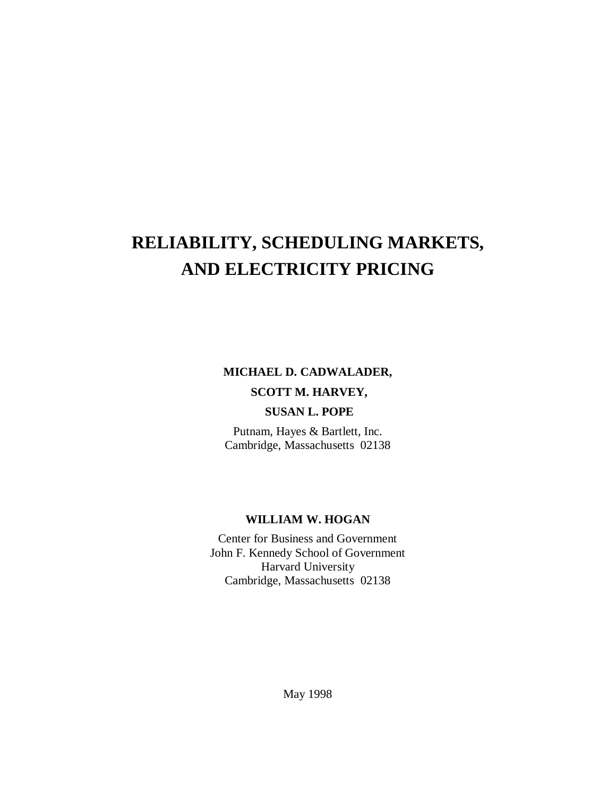# **RELIABILITY, SCHEDULING MARKETS, AND ELECTRICITY PRICING**

# **MICHAEL D. CADWALADER, SCOTT M. HARVEY,**

# **SUSAN L. POPE**

Putnam, Hayes & Bartlett, Inc. Cambridge, Massachusetts 02138

#### **WILLIAM W. HOGAN**

Center for Business and Government John F. Kennedy School of Government Harvard University Cambridge, Massachusetts 02138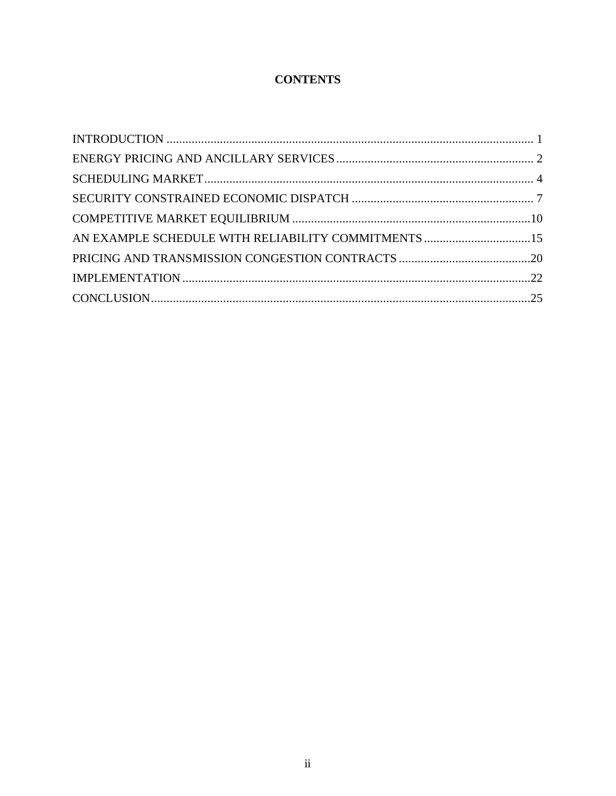# **CONTENTS**

| AN EXAMPLE SCHEDULE WITH RELIABILITY COMMITMENTS 15 |  |
|-----------------------------------------------------|--|
|                                                     |  |
|                                                     |  |
|                                                     |  |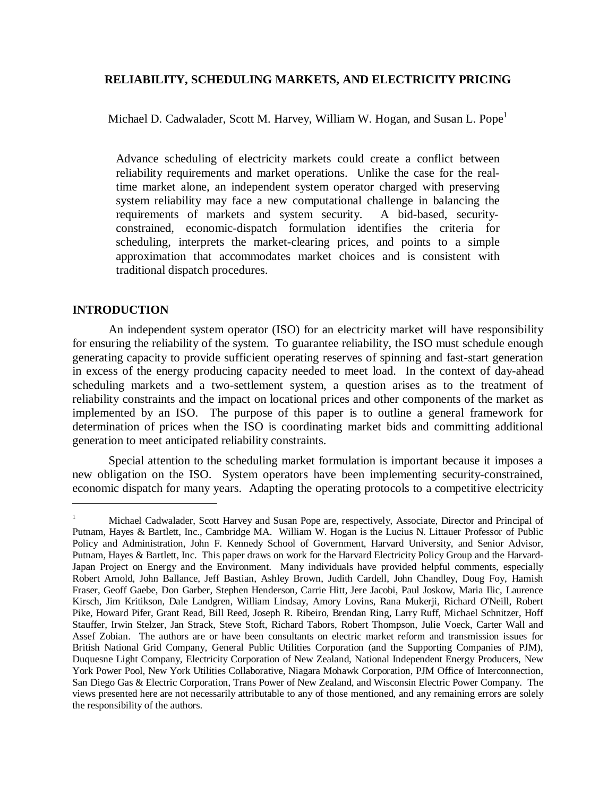# **RELIABILITY, SCHEDULING MARKETS, AND ELECTRICITY PRICING**

Michael D. Cadwalader, Scott M. Harvey, William W. Hogan, and Susan L. Pope<sup>1</sup>

Advance scheduling of electricity markets could create a conflict between reliability requirements and market operations. Unlike the case for the realtime market alone, an independent system operator charged with preserving system reliability may face a new computational challenge in balancing the requirements of markets and system security. A bid-based, securityconstrained, economic-dispatch formulation identifies the criteria for scheduling, interprets the market-clearing prices, and points to a simple approximation that accommodates market choices and is consistent with traditional dispatch procedures.

# **INTRODUCTION**

 $\overline{a}$ 

An independent system operator (ISO) for an electricity market will have responsibility for ensuring the reliability of the system. To guarantee reliability, the ISO must schedule enough generating capacity to provide sufficient operating reserves of spinning and fast-start generation in excess of the energy producing capacity needed to meet load. In the context of day-ahead scheduling markets and a two-settlement system, a question arises as to the treatment of reliability constraints and the impact on locational prices and other components of the market as implemented by an ISO. The purpose of this paper is to outline a general framework for determination of prices when the ISO is coordinating market bids and committing additional generation to meet anticipated reliability constraints.

Special attention to the scheduling market formulation is important because it imposes a new obligation on the ISO. System operators have been implementing security-constrained, economic dispatch for many years. Adapting the operating protocols to a competitive electricity

<sup>&</sup>lt;sup>1</sup> Michael Cadwalader, Scott Harvey and Susan Pope are, respectively, Associate, Director and Principal of Putnam, Hayes & Bartlett, Inc., Cambridge MA. William W. Hogan is the Lucius N. Littauer Professor of Public Policy and Administration, John F. Kennedy School of Government, Harvard University, and Senior Advisor, Putnam, Hayes & Bartlett, Inc. This paper draws on work for the Harvard Electricity Policy Group and the Harvard-Japan Project on Energy and the Environment. Many individuals have provided helpful comments, especially Robert Arnold, John Ballance, Jeff Bastian, Ashley Brown, Judith Cardell, John Chandley, Doug Foy, Hamish Fraser, Geoff Gaebe, Don Garber, Stephen Henderson, Carrie Hitt, Jere Jacobi, Paul Joskow, Maria Ilic, Laurence Kirsch, Jim Kritikson, Dale Landgren, William Lindsay, Amory Lovins, Rana Mukerji, Richard O'Neill, Robert Pike, Howard Pifer, Grant Read, Bill Reed, Joseph R. Ribeiro, Brendan Ring, Larry Ruff, Michael Schnitzer, Hoff Stauffer, Irwin Stelzer, Jan Strack, Steve Stoft, Richard Tabors, Robert Thompson, Julie Voeck, Carter Wall and Assef Zobian. The authors are or have been consultants on electric market reform and transmission issues for British National Grid Company, General Public Utilities Corporation (and the Supporting Companies of PJM), Duquesne Light Company, Electricity Corporation of New Zealand, National Independent Energy Producers, New York Power Pool, New York Utilities Collaborative, Niagara Mohawk Corporation, PJM Office of Interconnection, San Diego Gas & Electric Corporation, Trans Power of New Zealand, and Wisconsin Electric Power Company. The views presented here are not necessarily attributable to any of those mentioned, and any remaining errors are solely the responsibility of the authors.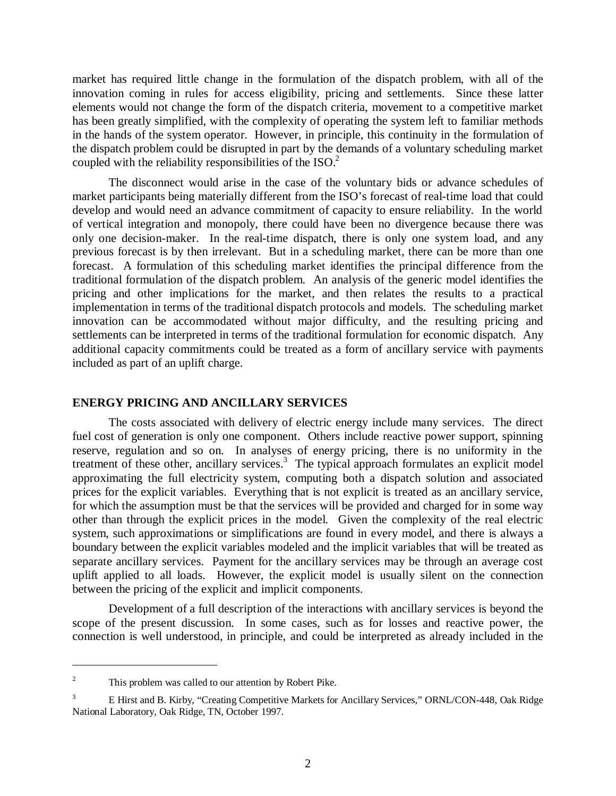market has required little change in the formulation of the dispatch problem, with all of the innovation coming in rules for access eligibility, pricing and settlements. Since these latter elements would not change the form of the dispatch criteria, movement to a competitive market has been greatly simplified, with the complexity of operating the system left to familiar methods in the hands of the system operator. However, in principle, this continuity in the formulation of the dispatch problem could be disrupted in part by the demands of a voluntary scheduling market coupled with the reliability responsibilities of the ISO.<sup>2</sup>

The disconnect would arise in the case of the voluntary bids or advance schedules of market participants being materially different from the ISO's forecast of real-time load that could develop and would need an advance commitment of capacity to ensure reliability. In the world of vertical integration and monopoly, there could have been no divergence because there was only one decision-maker. In the real-time dispatch, there is only one system load, and any previous forecast is by then irrelevant. But in a scheduling market, there can be more than one forecast. A formulation of this scheduling market identifies the principal difference from the traditional formulation of the dispatch problem. An analysis of the generic model identifies the pricing and other implications for the market, and then relates the results to a practical implementation in terms of the traditional dispatch protocols and models. The scheduling market innovation can be accommodated without major difficulty, and the resulting pricing and settlements can be interpreted in terms of the traditional formulation for economic dispatch. Any additional capacity commitments could be treated as a form of ancillary service with payments included as part of an uplift charge.

#### **ENERGY PRICING AND ANCILLARY SERVICES**

The costs associated with delivery of electric energy include many services. The direct fuel cost of generation is only one component. Others include reactive power support, spinning reserve, regulation and so on. In analyses of energy pricing, there is no uniformity in the treatment of these other, ancillary services. $3$  The typical approach formulates an explicit model approximating the full electricity system, computing both a dispatch solution and associated prices for the explicit variables. Everything that is not explicit is treated as an ancillary service, for which the assumption must be that the services will be provided and charged for in some way other than through the explicit prices in the model. Given the complexity of the real electric system, such approximations or simplifications are found in every model, and there is always a boundary between the explicit variables modeled and the implicit variables that will be treated as separate ancillary services. Payment for the ancillary services may be through an average cost uplift applied to all loads. However, the explicit model is usually silent on the connection between the pricing of the explicit and implicit components.

Development of a full description of the interactions with ancillary services is beyond the scope of the present discussion. In some cases, such as for losses and reactive power, the connection is well understood, in principle, and could be interpreted as already included in the

 $\overline{a}$ 

<sup>2</sup> This problem was called to our attention by Robert Pike.

<sup>3</sup> E Hirst and B. Kirby, "Creating Competitive Markets for Ancillary Services," ORNL/CON-448, Oak Ridge National Laboratory, Oak Ridge, TN, October 1997.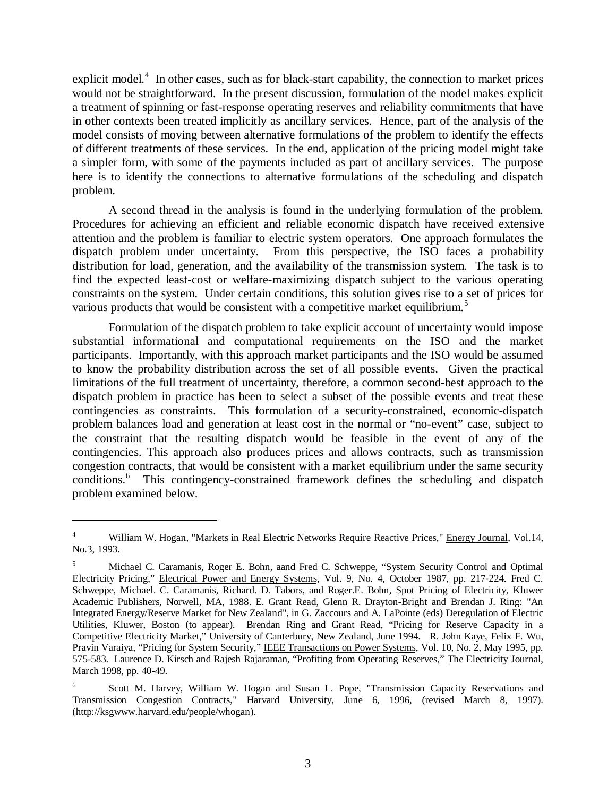explicit model.<sup>4</sup> In other cases, such as for black-start capability, the connection to market prices would not be straightforward. In the present discussion, formulation of the model makes explicit a treatment of spinning or fast-response operating reserves and reliability commitments that have in other contexts been treated implicitly as ancillary services. Hence, part of the analysis of the model consists of moving between alternative formulations of the problem to identify the effects of different treatments of these services. In the end, application of the pricing model might take a simpler form, with some of the payments included as part of ancillary services. The purpose here is to identify the connections to alternative formulations of the scheduling and dispatch problem.

A second thread in the analysis is found in the underlying formulation of the problem. Procedures for achieving an efficient and reliable economic dispatch have received extensive attention and the problem is familiar to electric system operators. One approach formulates the dispatch problem under uncertainty. From this perspective, the ISO faces a probability distribution for load, generation, and the availability of the transmission system. The task is to find the expected least-cost or welfare-maximizing dispatch subject to the various operating constraints on the system. Under certain conditions, this solution gives rise to a set of prices for various products that would be consistent with a competitive market equilibrium.<sup>5</sup>

Formulation of the dispatch problem to take explicit account of uncertainty would impose substantial informational and computational requirements on the ISO and the market participants. Importantly, with this approach market participants and the ISO would be assumed to know the probability distribution across the set of all possible events. Given the practical limitations of the full treatment of uncertainty, therefore, a common second-best approach to the dispatch problem in practice has been to select a subset of the possible events and treat these contingencies as constraints. This formulation of a security-constrained, economic-dispatch problem balances load and generation at least cost in the normal or "no-event" case, subject to the constraint that the resulting dispatch would be feasible in the event of any of the contingencies. This approach also produces prices and allows contracts, such as transmission congestion contracts, that would be consistent with a market equilibrium under the same security conditions.<sup>6</sup> This contingency-constrained framework defines the scheduling and dispatch problem examined below.

 $\overline{a}$ 

<sup>4</sup> William W. Hogan, "Markets in Real Electric Networks Require Reactive Prices," Energy Journal, Vol.14, No.3, 1993.

<sup>5</sup> Michael C. Caramanis, Roger E. Bohn, aand Fred C. Schweppe, "System Security Control and Optimal Electricity Pricing," Electrical Power and Energy Systems, Vol. 9, No. 4, October 1987, pp. 217-224. Fred C. Schweppe, Michael. C. Caramanis, Richard. D. Tabors, and Roger.E. Bohn, Spot Pricing of Electricity, Kluwer Academic Publishers, Norwell, MA, 1988. E. Grant Read, Glenn R. Drayton-Bright and Brendan J. Ring: "An Integrated Energy/Reserve Market for New Zealand", in G. Zaccours and A. LaPointe (eds) Deregulation of Electric Utilities, Kluwer, Boston (to appear). Brendan Ring and Grant Read, "Pricing for Reserve Capacity in a Competitive Electricity Market," University of Canterbury, New Zealand, June 1994. R. John Kaye, Felix F. Wu, Pravin Varaiya, "Pricing for System Security," IEEE Transactions on Power Systems, Vol. 10, No. 2, May 1995, pp. 575-583. Laurence D. Kirsch and Rajesh Rajaraman, "Profiting from Operating Reserves," The Electricity Journal, March 1998, pp. 40-49.

<sup>6</sup> Scott M. Harvey, William W. Hogan and Susan L. Pope, "Transmission Capacity Reservations and Transmission Congestion Contracts," Harvard University, June 6, 1996, (revised March 8, 1997). (http://ksgwww.harvard.edu/people/whogan).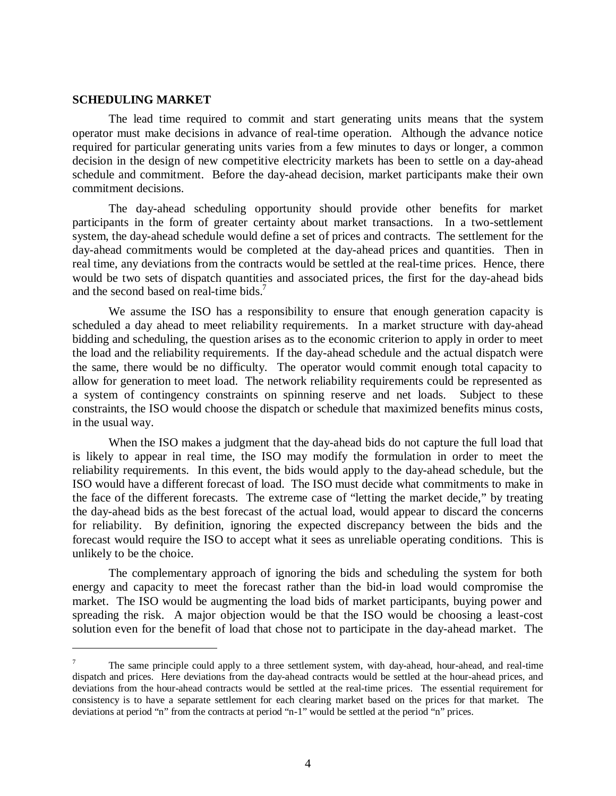#### **SCHEDULING MARKET**

 $\overline{a}$ 

The lead time required to commit and start generating units means that the system operator must make decisions in advance of real-time operation. Although the advance notice required for particular generating units varies from a few minutes to days or longer, a common decision in the design of new competitive electricity markets has been to settle on a day-ahead schedule and commitment. Before the day-ahead decision, market participants make their own commitment decisions.

The day-ahead scheduling opportunity should provide other benefits for market participants in the form of greater certainty about market transactions. In a two-settlement system, the day-ahead schedule would define a set of prices and contracts. The settlement for the day-ahead commitments would be completed at the day-ahead prices and quantities. Then in real time, any deviations from the contracts would be settled at the real-time prices. Hence, there would be two sets of dispatch quantities and associated prices, the first for the day-ahead bids and the second based on real-time bids.<sup>7</sup>

We assume the ISO has a responsibility to ensure that enough generation capacity is scheduled a day ahead to meet reliability requirements. In a market structure with day-ahead bidding and scheduling, the question arises as to the economic criterion to apply in order to meet the load and the reliability requirements. If the day-ahead schedule and the actual dispatch were the same, there would be no difficulty. The operator would commit enough total capacity to allow for generation to meet load. The network reliability requirements could be represented as a system of contingency constraints on spinning reserve and net loads. Subject to these constraints, the ISO would choose the dispatch or schedule that maximized benefits minus costs, in the usual way.

When the ISO makes a judgment that the day-ahead bids do not capture the full load that is likely to appear in real time, the ISO may modify the formulation in order to meet the reliability requirements. In this event, the bids would apply to the day-ahead schedule, but the ISO would have a different forecast of load. The ISO must decide what commitments to make in the face of the different forecasts. The extreme case of "letting the market decide," by treating the day-ahead bids as the best forecast of the actual load, would appear to discard the concerns for reliability. By definition, ignoring the expected discrepancy between the bids and the forecast would require the ISO to accept what it sees as unreliable operating conditions. This is unlikely to be the choice.

The complementary approach of ignoring the bids and scheduling the system for both energy and capacity to meet the forecast rather than the bid-in load would compromise the market. The ISO would be augmenting the load bids of market participants, buying power and spreading the risk. A major objection would be that the ISO would be choosing a least-cost solution even for the benefit of load that chose not to participate in the day-ahead market. The

<sup>7</sup> The same principle could apply to a three settlement system, with day-ahead, hour-ahead, and real-time dispatch and prices. Here deviations from the day-ahead contracts would be settled at the hour-ahead prices, and deviations from the hour-ahead contracts would be settled at the real-time prices. The essential requirement for consistency is to have a separate settlement for each clearing market based on the prices for that market. The deviations at period "n" from the contracts at period "n-1" would be settled at the period "n" prices.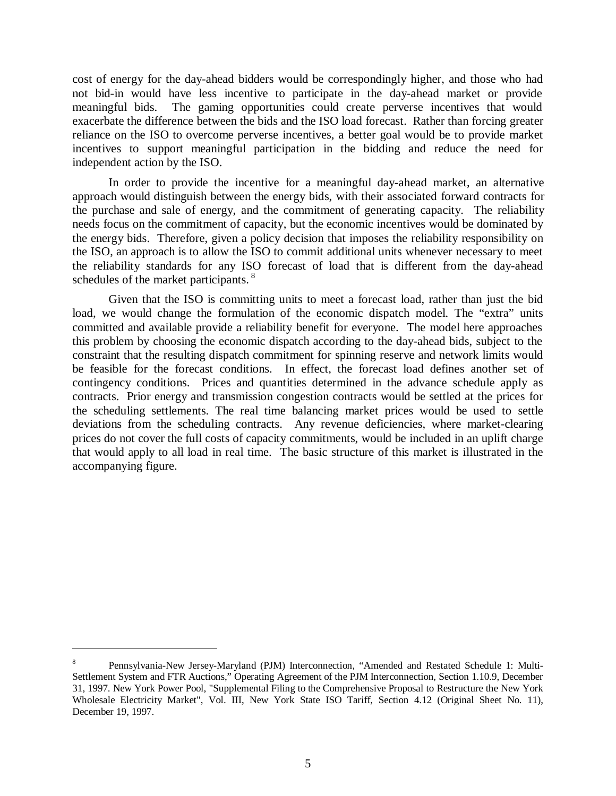cost of energy for the day-ahead bidders would be correspondingly higher, and those who had not bid-in would have less incentive to participate in the day-ahead market or provide meaningful bids. The gaming opportunities could create perverse incentives that would exacerbate the difference between the bids and the ISO load forecast. Rather than forcing greater reliance on the ISO to overcome perverse incentives, a better goal would be to provide market incentives to support meaningful participation in the bidding and reduce the need for independent action by the ISO.

In order to provide the incentive for a meaningful day-ahead market, an alternative approach would distinguish between the energy bids, with their associated forward contracts for the purchase and sale of energy, and the commitment of generating capacity. The reliability needs focus on the commitment of capacity, but the economic incentives would be dominated by the energy bids. Therefore, given a policy decision that imposes the reliability responsibility on the ISO, an approach is to allow the ISO to commit additional units whenever necessary to meet the reliability standards for any ISO forecast of load that is different from the day-ahead schedules of the market participants.<sup>8</sup>

Given that the ISO is committing units to meet a forecast load, rather than just the bid load, we would change the formulation of the economic dispatch model. The "extra" units committed and available provide a reliability benefit for everyone. The model here approaches this problem by choosing the economic dispatch according to the day-ahead bids, subject to the constraint that the resulting dispatch commitment for spinning reserve and network limits would be feasible for the forecast conditions. In effect, the forecast load defines another set of contingency conditions. Prices and quantities determined in the advance schedule apply as contracts. Prior energy and transmission congestion contracts would be settled at the prices for the scheduling settlements. The real time balancing market prices would be used to settle deviations from the scheduling contracts. Any revenue deficiencies, where market-clearing prices do not cover the full costs of capacity commitments, would be included in an uplift charge that would apply to all load in real time. The basic structure of this market is illustrated in the accompanying figure.

 $\overline{a}$ 

<sup>8</sup> Pennsylvania-New Jersey-Maryland (PJM) Interconnection, "Amended and Restated Schedule 1: Multi-Settlement System and FTR Auctions," Operating Agreement of the PJM Interconnection, Section 1.10.9, December 31, 1997. New York Power Pool, "Supplemental Filing to the Comprehensive Proposal to Restructure the New York Wholesale Electricity Market", Vol. III, New York State ISO Tariff, Section 4.12 (Original Sheet No. 11), December 19, 1997.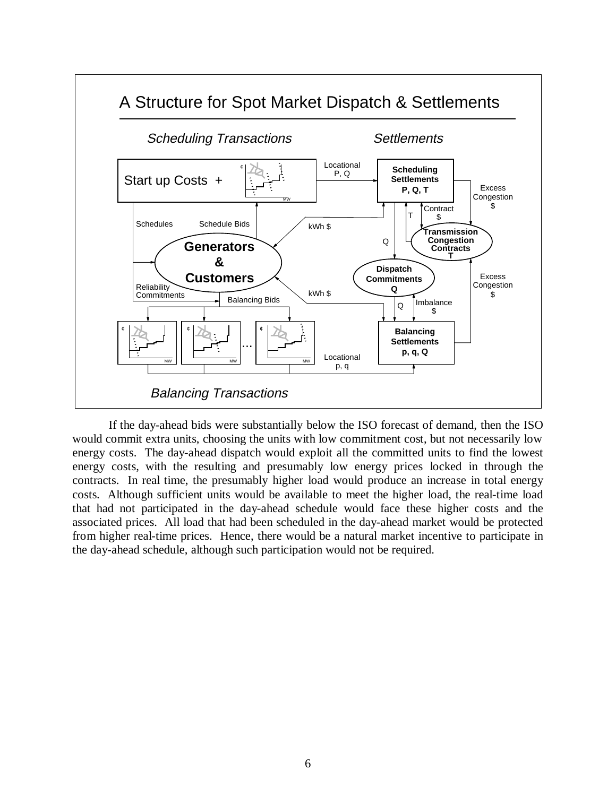

If the day-ahead bids were substantially below the ISO forecast of demand, then the ISO would commit extra units, choosing the units with low commitment cost, but not necessarily low energy costs. The day-ahead dispatch would exploit all the committed units to find the lowest energy costs, with the resulting and presumably low energy prices locked in through the contracts. In real time, the presumably higher load would produce an increase in total energy costs. Although sufficient units would be available to meet the higher load, the real-time load that had not participated in the day-ahead schedule would face these higher costs and the associated prices. All load that had been scheduled in the day-ahead market would be protected from higher real-time prices. Hence, there would be a natural market incentive to participate in the day-ahead schedule, although such participation would not be required.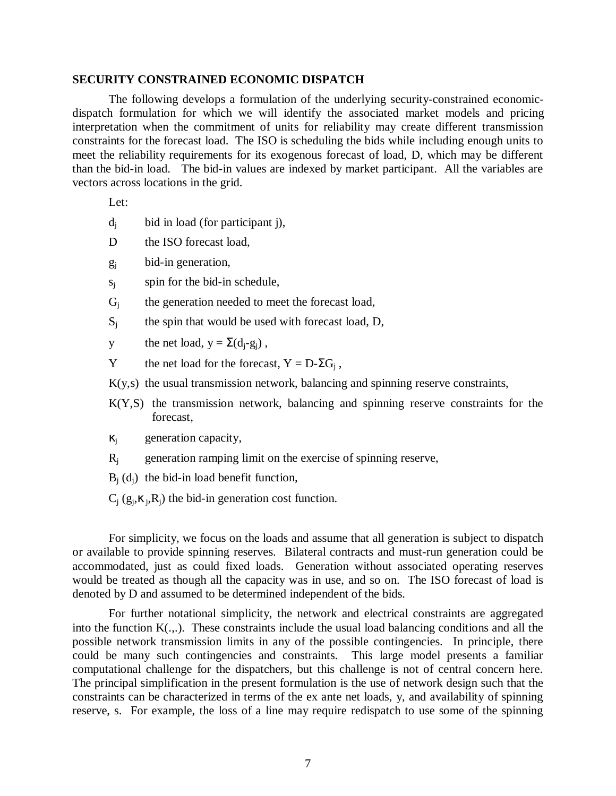#### **SECURITY CONSTRAINED ECONOMIC DISPATCH**

The following develops a formulation of the underlying security-constrained economicdispatch formulation for which we will identify the associated market models and pricing interpretation when the commitment of units for reliability may create different transmission constraints for the forecast load. The ISO is scheduling the bids while including enough units to meet the reliability requirements for its exogenous forecast of load, D, which may be different than the bid-in load. The bid-in values are indexed by market participant. All the variables are vectors across locations in the grid.

Let:

- $d_i$  bid in load (for participant j),
- D the ISO forecast load,
- $g_i$  bid-in generation,
- $s_i$  spin for the bid-in schedule,
- $G_i$  the generation needed to meet the forecast load,
- $S_i$  the spin that would be used with forecast load, D,
- y the net load,  $y = \Sigma(d_i g_i)$ ,
- Y the net load for the forecast,  $Y = D \Sigma G_i$ ,
- K(y,s) the usual transmission network, balancing and spinning reserve constraints,
- K(Y,S) the transmission network, balancing and spinning reserve constraints for the forecast,
- $\kappa_i$  generation capacity,
- $R_i$  generation ramping limit on the exercise of spinning reserve,
- $B_i$  (d<sub>i</sub>) the bid-in load benefit function,
- $C_i$  (g<sub>i</sub>, $\kappa_i$ , $R_i$ ) the bid-in generation cost function.

For simplicity, we focus on the loads and assume that all generation is subject to dispatch or available to provide spinning reserves. Bilateral contracts and must-run generation could be accommodated, just as could fixed loads. Generation without associated operating reserves would be treated as though all the capacity was in use, and so on. The ISO forecast of load is denoted by D and assumed to be determined independent of the bids.

For further notational simplicity, the network and electrical constraints are aggregated into the function K(.,.). These constraints include the usual load balancing conditions and all the possible network transmission limits in any of the possible contingencies. In principle, there could be many such contingencies and constraints. This large model presents a familiar computational challenge for the dispatchers, but this challenge is not of central concern here. The principal simplification in the present formulation is the use of network design such that the constraints can be characterized in terms of the ex ante net loads, y, and availability of spinning reserve, s. For example, the loss of a line may require redispatch to use some of the spinning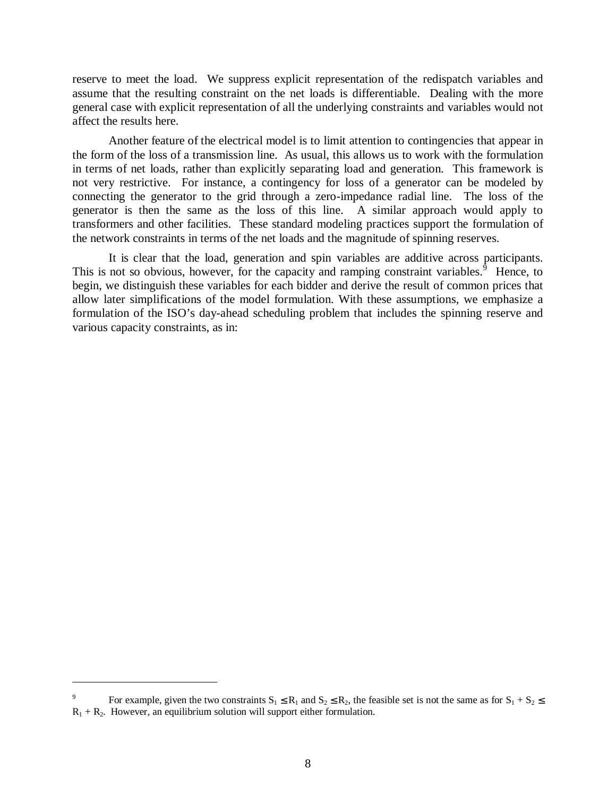reserve to meet the load. We suppress explicit representation of the redispatch variables and assume that the resulting constraint on the net loads is differentiable. Dealing with the more general case with explicit representation of all the underlying constraints and variables would not affect the results here.

Another feature of the electrical model is to limit attention to contingencies that appear in the form of the loss of a transmission line. As usual, this allows us to work with the formulation in terms of net loads, rather than explicitly separating load and generation. This framework is not very restrictive. For instance, a contingency for loss of a generator can be modeled by connecting the generator to the grid through a zero-impedance radial line. The loss of the generator is then the same as the loss of this line. A similar approach would apply to transformers and other facilities. These standard modeling practices support the formulation of the network constraints in terms of the net loads and the magnitude of spinning reserves.

It is clear that the load, generation and spin variables are additive across participants. This is not so obvious, however, for the capacity and ramping constraint variables.<sup> $5$ </sup> Hence, to begin, we distinguish these variables for each bidder and derive the result of common prices that allow later simplifications of the model formulation. With these assumptions, we emphasize a formulation of the ISO's day-ahead scheduling problem that includes the spinning reserve and various capacity constraints, as in:

 $\overline{a}$ 

<sup>9</sup> For example, given the two constraints  $S_1 \le R_1$  and  $S_2 \le R_2$ , the feasible set is not the same as for  $S_1 + S_2 \le$  $R_1 + R_2$ . However, an equilibrium solution will support either formulation.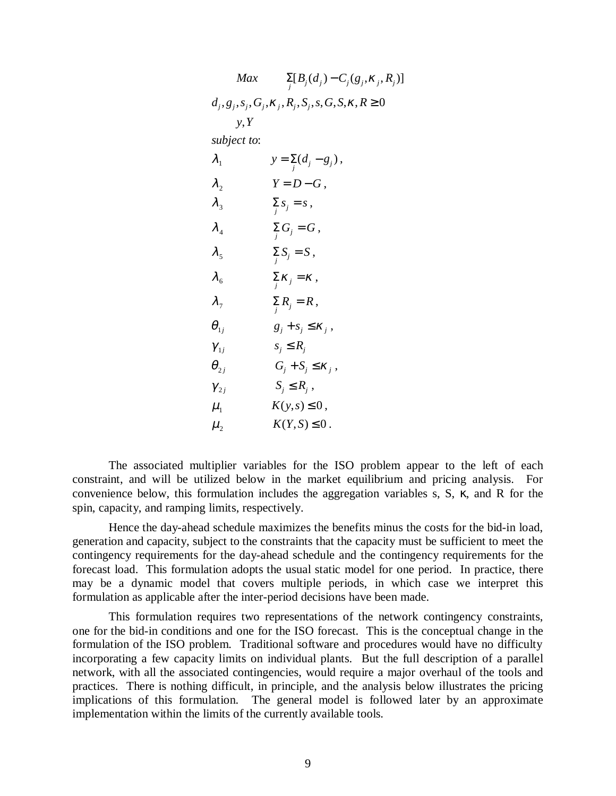| Max                        | $\sum_{j} [B_j(d_j) - C_j(g_j, \kappa_j, R_j)]$               |
|----------------------------|---------------------------------------------------------------|
|                            | $d_j, g_j, s_j, G_j, K_j, R_j, S_j, s, G, S, \kappa, R \ge 0$ |
| y, Y                       |                                                               |
| subject to:                |                                                               |
| $\lambda_{1}$              | $y = \sum_{i} (d_i - g_i)$ ,                                  |
| $\lambda_{2}$              | $Y = D - G$ ,                                                 |
| $\lambda_{3}$              | $\sum_j s_j = s,$                                             |
| $\lambda_4$                | $\sum_i G_j = G$ ,                                            |
| $\lambda_{5}$              | $\sum_i S_j = S$ ,                                            |
| $\lambda_{6}$              | $\sum_i \kappa_j = \kappa$ ,                                  |
| $\lambda_{7}$              | $\sum_i R_j = R \,,$                                          |
| $\boldsymbol{\theta}_{1j}$ | $g_j + s_j \leq \kappa_j$ ,                                   |
| $\gamma_{1j}$              | $s_i \leq R_i$                                                |
| $\bm{\theta}_{2j}$         | $G_j + S_j \leq \kappa_j$ ,                                   |
| $\gamma_{2j}$              | $S_i \leq R_i$ ,                                              |
| $\mu_{1}$                  | $K(y,s) \leq 0$ ,                                             |
| $\mu_{2}$                  | $K(Y, S) \leq 0$ .                                            |

The associated multiplier variables for the ISO problem appear to the left of each constraint, and will be utilized below in the market equilibrium and pricing analysis. For convenience below, this formulation includes the aggregation variables s, S, κ, and R for the spin, capacity, and ramping limits, respectively.

Hence the day-ahead schedule maximizes the benefits minus the costs for the bid-in load, generation and capacity, subject to the constraints that the capacity must be sufficient to meet the contingency requirements for the day-ahead schedule and the contingency requirements for the forecast load. This formulation adopts the usual static model for one period. In practice, there may be a dynamic model that covers multiple periods, in which case we interpret this formulation as applicable after the inter-period decisions have been made.

This formulation requires two representations of the network contingency constraints, one for the bid-in conditions and one for the ISO forecast. This is the conceptual change in the formulation of the ISO problem. Traditional software and procedures would have no difficulty incorporating a few capacity limits on individual plants. But the full description of a parallel network, with all the associated contingencies, would require a major overhaul of the tools and practices. There is nothing difficult, in principle, and the analysis below illustrates the pricing implications of this formulation. The general model is followed later by an approximate implementation within the limits of the currently available tools.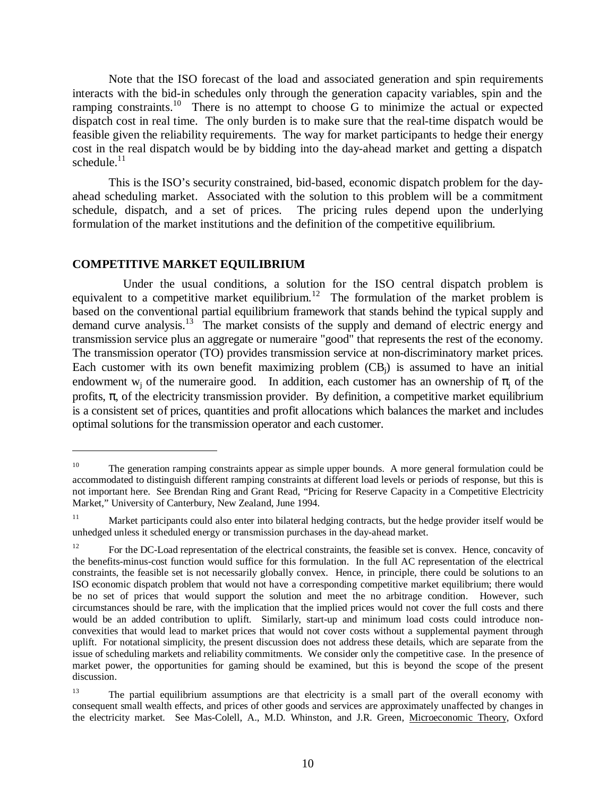Note that the ISO forecast of the load and associated generation and spin requirements interacts with the bid-in schedules only through the generation capacity variables, spin and the ramping constraints.<sup>10</sup> There is no attempt to choose G to minimize the actual or expected dispatch cost in real time. The only burden is to make sure that the real-time dispatch would be feasible given the reliability requirements. The way for market participants to hedge their energy cost in the real dispatch would be by bidding into the day-ahead market and getting a dispatch schedule. $11$ 

This is the ISO's security constrained, bid-based, economic dispatch problem for the dayahead scheduling market. Associated with the solution to this problem will be a commitment schedule, dispatch, and a set of prices. The pricing rules depend upon the underlying formulation of the market institutions and the definition of the competitive equilibrium.

#### **COMPETITIVE MARKET EQUILIBRIUM**

 $\overline{a}$ 

Under the usual conditions, a solution for the ISO central dispatch problem is equivalent to a competitive market equilibrium.<sup>12</sup> The formulation of the market problem is based on the conventional partial equilibrium framework that stands behind the typical supply and demand curve analysis.<sup>13</sup> The market consists of the supply and demand of electric energy and transmission service plus an aggregate or numeraire "good" that represents the rest of the economy. The transmission operator (TO) provides transmission service at non-discriminatory market prices. Each customer with its own benefit maximizing problem  $(CB_i)$  is assumed to have an initial endowment w<sub>i</sub> of the numeraire good. In addition, each customer has an ownership of  $\pi_i$  of the profits,  $\pi$ , of the electricity transmission provider. By definition, a competitive market equilibrium is a consistent set of prices, quantities and profit allocations which balances the market and includes optimal solutions for the transmission operator and each customer.

<sup>&</sup>lt;sup>10</sup> The generation ramping constraints appear as simple upper bounds. A more general formulation could be accommodated to distinguish different ramping constraints at different load levels or periods of response, but this is not important here. See Brendan Ring and Grant Read, "Pricing for Reserve Capacity in a Competitive Electricity Market," University of Canterbury, New Zealand, June 1994.

<sup>&</sup>lt;sup>11</sup> Market participants could also enter into bilateral hedging contracts, but the hedge provider itself would be unhedged unless it scheduled energy or transmission purchases in the day-ahead market.

<sup>&</sup>lt;sup>12</sup> For the DC-Load representation of the electrical constraints, the feasible set is convex. Hence, concavity of the benefits-minus-cost function would suffice for this formulation. In the full AC representation of the electrical constraints, the feasible set is not necessarily globally convex. Hence, in principle, there could be solutions to an ISO economic dispatch problem that would not have a corresponding competitive market equilibrium; there would be no set of prices that would support the solution and meet the no arbitrage condition. However, such circumstances should be rare, with the implication that the implied prices would not cover the full costs and there would be an added contribution to uplift. Similarly, start-up and minimum load costs could introduce nonconvexities that would lead to market prices that would not cover costs without a supplemental payment through uplift. For notational simplicity, the present discussion does not address these details, which are separate from the issue of scheduling markets and reliability commitments. We consider only the competitive case. In the presence of market power, the opportunities for gaming should be examined, but this is beyond the scope of the present discussion.

<sup>&</sup>lt;sup>13</sup> The partial equilibrium assumptions are that electricity is a small part of the overall economy with consequent small wealth effects, and prices of other goods and services are approximately unaffected by changes in the electricity market. See Mas-Colell, A., M.D. Whinston, and J.R. Green, Microeconomic Theory, Oxford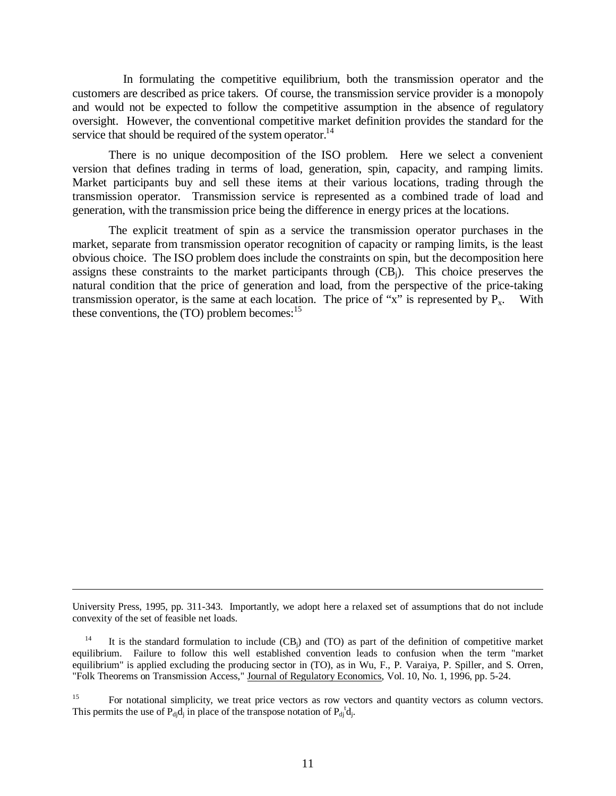In formulating the competitive equilibrium, both the transmission operator and the customers are described as price takers. Of course, the transmission service provider is a monopoly and would not be expected to follow the competitive assumption in the absence of regulatory oversight. However, the conventional competitive market definition provides the standard for the service that should be required of the system operator.<sup>14</sup>

There is no unique decomposition of the ISO problem. Here we select a convenient version that defines trading in terms of load, generation, spin, capacity, and ramping limits. Market participants buy and sell these items at their various locations, trading through the transmission operator. Transmission service is represented as a combined trade of load and generation, with the transmission price being the difference in energy prices at the locations.

The explicit treatment of spin as a service the transmission operator purchases in the market, separate from transmission operator recognition of capacity or ramping limits, is the least obvious choice. The ISO problem does include the constraints on spin, but the decomposition here assigns these constraints to the market participants through  $(CB_i)$ . This choice preserves the natural condition that the price of generation and load, from the perspective of the price-taking transmission operator, is the same at each location. The price of "x" is represented by  $P_x$ . With these conventions, the  $(TO)$  problem becomes:<sup>15</sup>

 $\overline{a}$ 

University Press, 1995, pp. 311-343. Importantly, we adopt here a relaxed set of assumptions that do not include convexity of the set of feasible net loads.

<sup>&</sup>lt;sup>14</sup> It is the standard formulation to include  $(CB_i)$  and  $(TO)$  as part of the definition of competitive market equilibrium. Failure to follow this well established convention leads to confusion when the term "market equilibrium" is applied excluding the producing sector in (TO), as in Wu, F., P. Varaiya, P. Spiller, and S. Orren, "Folk Theorems on Transmission Access," Journal of Regulatory Economics, Vol. 10, No. 1, 1996, pp. 5-24.

<sup>&</sup>lt;sup>15</sup> For notational simplicity, we treat price vectors as row vectors and quantity vectors as column vectors. This permits the use of  $P_{dj}d_j$  in place of the transpose notation of  $P_{dj}^{\ t}d_j$ .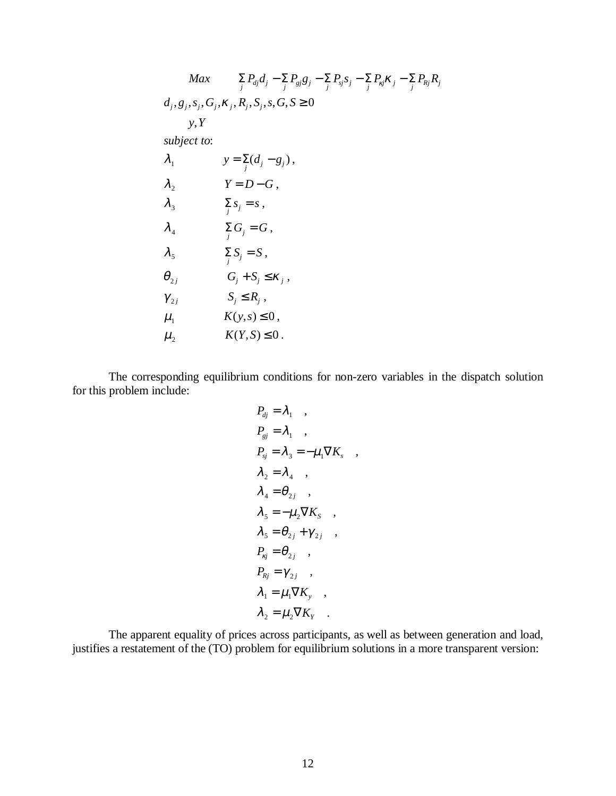$$
Max \sum_{j} P_{dj}d_{j} - \sum_{j} P_{gj}g_{j} - \sum_{j} P_{sj}s_{j} - \sum_{j} P_{kj}\kappa_{j} - \sum_{j} P_{kj}R_{j}
$$
\n
$$
d_{j}, g_{j}, s_{j}, G_{j}, \kappa_{j}, R_{j}, S_{j}, s, G, S \ge 0
$$
\n
$$
y, Y
$$
\nsubject to:\n
$$
\lambda_{1} \qquad y = \sum_{j} (d_{j} - g_{j}),
$$
\n
$$
\lambda_{2} \qquad Y = D - G,
$$
\n
$$
\lambda_{3} \qquad \sum_{j} S_{j} = s,
$$
\n
$$
\lambda_{4} \qquad \sum_{j} G_{j} = G,
$$
\n
$$
\lambda_{5} \qquad \sum_{j} S_{j} = S,
$$
\n
$$
\theta_{2j} \qquad G_{j} + S_{j} \le \kappa_{j},
$$
\n
$$
\gamma_{2j} \qquad S_{j} \le R_{j},
$$
\n
$$
\mu_{1} \qquad K(y, s) \le 0,
$$
\n
$$
\mu_{2} \qquad K(Y, S) \le 0.
$$

The corresponding equilibrium conditions for non-zero variables in the dispatch solution for this problem include:

$$
P_{dj} = \lambda_1 ,
$$
  
\n
$$
P_{gj} = \lambda_1 ,
$$
  
\n
$$
P_{sj} = \lambda_3 = -\mu_1 \nabla K_s ,
$$
  
\n
$$
\lambda_2 = \lambda_4 ,
$$
  
\n
$$
\lambda_4 = \theta_{2j} ,
$$
  
\n
$$
\lambda_5 = -\mu_2 \nabla K_s ,
$$
  
\n
$$
\lambda_5 = \theta_{2j} + \gamma_{2j} ,
$$
  
\n
$$
P_{kj} = \theta_{2j} ,
$$
  
\n
$$
P_{kj} = \gamma_{2j} ,
$$
  
\n
$$
\lambda_1 = \mu_1 \nabla K_y ,
$$
  
\n
$$
\lambda_2 = \mu_2 \nabla K_y .
$$

The apparent equality of prices across participants, as well as between generation and load, justifies a restatement of the (TO) problem for equilibrium solutions in a more transparent version: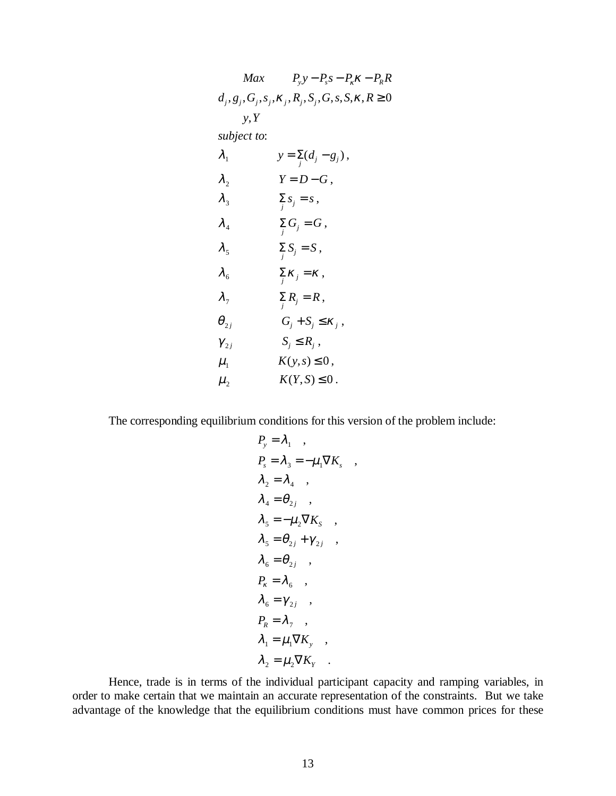| Max            | $P_{y}y - P_{s}s - P_{k}k - P_{R}R$                                |
|----------------|--------------------------------------------------------------------|
|                | $d_i, g_i, G_i, s_i, \kappa_i, R_i, S_i, G, s, S, \kappa, R \ge 0$ |
| y, Y           |                                                                    |
| subject to:    |                                                                    |
| $\lambda_{_1}$ | $y = \sum_{i} (d_i - g_i)$ ,                                       |
| $\lambda_{2}$  | $Y = D - G$ ,                                                      |
| $\lambda_{3}$  | $\sum_j s_j = s,$                                                  |
| $\lambda_4$    | $\sum_j G_j = G$ ,                                                 |
| $\lambda_{5}$  | $\sum_{j} S_j = S$ ,                                               |
| $\lambda_{6}$  | $\sum_i \kappa_j = \kappa$ ,                                       |
| $\lambda_{7}$  | $\sum_i R_j = R \,,$                                               |
| $\theta_{2j}$  | $G_j + S_j \leq \kappa_j$ ,                                        |
| $\gamma_{2j}$  | $S_j \leq R_j$ ,                                                   |
| $\mu_{1}$      | $K(y,s) \leq 0$ ,                                                  |
| $\mu_{2}$      | $K(Y, S) \leq 0$ .                                                 |
|                |                                                                    |

The corresponding equilibrium conditions for this version of the problem include:

$$
P_y = \lambda_1 ,
$$
  
\n
$$
P_s = \lambda_3 = -\mu_1 \nabla K_s ,
$$
  
\n
$$
\lambda_2 = \lambda_4 ,
$$
  
\n
$$
\lambda_4 = \theta_{2j} ,
$$
  
\n
$$
\lambda_5 = -\mu_2 \nabla K_s ,
$$
  
\n
$$
\lambda_5 = \theta_{2j} + \gamma_{2j} ,
$$
  
\n
$$
\lambda_6 = \theta_{2j} ,
$$
  
\n
$$
P_k = \lambda_6 ,
$$
  
\n
$$
\lambda_6 = \gamma_{2j} ,
$$
  
\n
$$
P_k = \lambda_7 ,
$$
  
\n
$$
\lambda_1 = \mu_1 \nabla K_y ,
$$
  
\n
$$
\lambda_2 = \mu_2 \nabla K_y .
$$

Hence, trade is in terms of the individual participant capacity and ramping variables, in order to make certain that we maintain an accurate representation of the constraints. But we take advantage of the knowledge that the equilibrium conditions must have common prices for these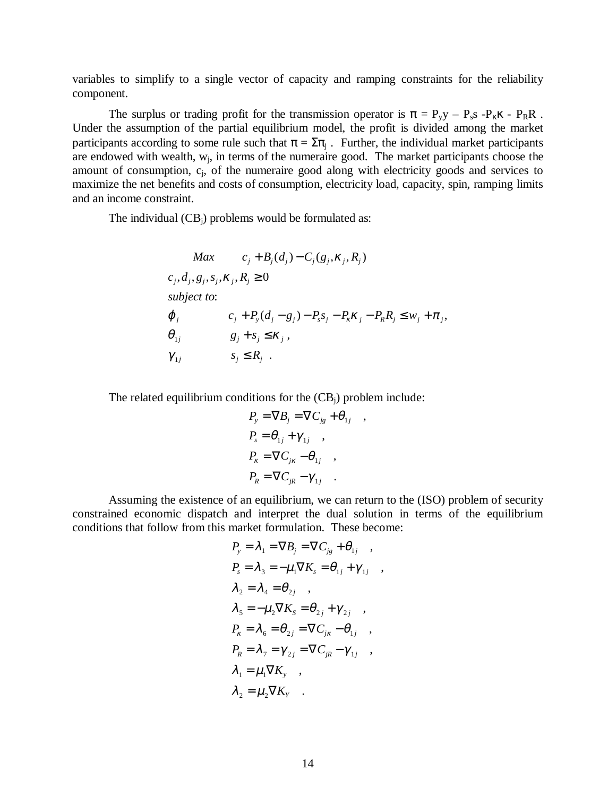variables to simplify to a single vector of capacity and ramping constraints for the reliability component.

The surplus or trading profit for the transmission operator is  $\pi = P_y y - P_s s - P_k x - P_R R$ . Under the assumption of the partial equilibrium model, the profit is divided among the market participants according to some rule such that  $\pi = \Sigma \pi_i$ . Further, the individual market participants are endowed with wealth,  $w_i$ , in terms of the numeraire good. The market participants choose the amount of consumption, c<sub>i</sub>, of the numeraire good along with electricity goods and services to maximize the net benefits and costs of consumption, electricity load, capacity, spin, ramping limits and an income constraint.

The individual  $(CB_i)$  problems would be formulated as:

$$
Max \t C_j + B_j(d_j) - C_j(g_j, \kappa_j, R_j)
$$
  
\n
$$
c_j, d_j, g_j, s_j, \kappa_j, R_j \ge 0
$$
  
\nsubject to:  
\n
$$
\varphi_j \t C_j + P_y(d_j - g_j) - P_s s_j - P_\kappa \kappa_j - P_\kappa R_j \le w_j + \pi_j,
$$
  
\n
$$
\theta_{1j} \t g_j + s_j \le \kappa_j,
$$
  
\n
$$
\gamma_{1j} \t s_j \le R_j.
$$

The related equilibrium conditions for the  $(CB_i)$  problem include:

$$
P_{y} = \nabla B_{j} = \nabla C_{jg} + \theta_{1j}
$$
  
\n
$$
P_{s} = \theta_{1j} + \gamma_{1j} ,
$$
  
\n
$$
P_{k} = \nabla C_{jk} - \theta_{1j} ,
$$
  
\n
$$
P_{R} = \nabla C_{jk} - \gamma_{1j} .
$$

,

Assuming the existence of an equilibrium, we can return to the (ISO) problem of security constrained economic dispatch and interpret the dual solution in terms of the equilibrium conditions that follow from this market formulation. These become:

$$
P_y = \lambda_1 = \nabla B_j = \nabla C_{jg} + \theta_{1j} ,
$$
  
\n
$$
P_s = \lambda_3 = -\mu_1 \nabla K_s = \theta_{1j} + \gamma_{1j} ,
$$
  
\n
$$
\lambda_2 = \lambda_4 = \theta_{2j} ,
$$
  
\n
$$
\lambda_5 = -\mu_2 \nabla K_s = \theta_{2j} + \gamma_{2j} ,
$$
  
\n
$$
P_k = \lambda_6 = \theta_{2j} = \nabla C_{jk} - \theta_{1j} ,
$$
  
\n
$$
P_k = \lambda_7 = \gamma_{2j} = \nabla C_{jk} - \gamma_{1j} ,
$$
  
\n
$$
\lambda_1 = \mu_1 \nabla K_y ,
$$
  
\n
$$
\lambda_2 = \mu_2 \nabla K_y .
$$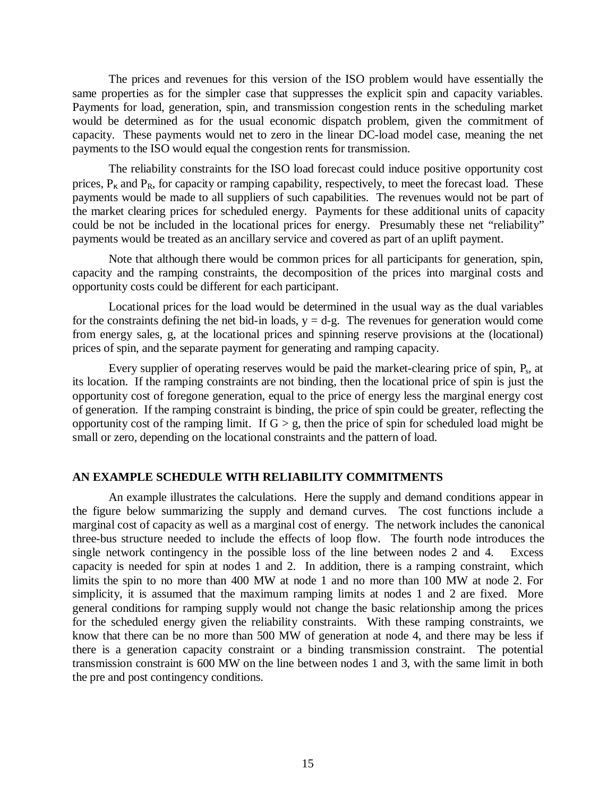The prices and revenues for this version of the ISO problem would have essentially the same properties as for the simpler case that suppresses the explicit spin and capacity variables. Payments for load, generation, spin, and transmission congestion rents in the scheduling market would be determined as for the usual economic dispatch problem, given the commitment of capacity. These payments would net to zero in the linear DC-load model case, meaning the net payments to the ISO would equal the congestion rents for transmission.

The reliability constraints for the ISO load forecast could induce positive opportunity cost prices,  $P_k$  and  $P_R$ , for capacity or ramping capability, respectively, to meet the forecast load. These payments would be made to all suppliers of such capabilities. The revenues would not be part of the market clearing prices for scheduled energy. Payments for these additional units of capacity could be not be included in the locational prices for energy. Presumably these net "reliability" payments would be treated as an ancillary service and covered as part of an uplift payment.

Note that although there would be common prices for all participants for generation, spin, capacity and the ramping constraints, the decomposition of the prices into marginal costs and opportunity costs could be different for each participant.

Locational prices for the load would be determined in the usual way as the dual variables for the constraints defining the net bid-in loads,  $y = d-g$ . The revenues for generation would come from energy sales, g, at the locational prices and spinning reserve provisions at the (locational) prices of spin, and the separate payment for generating and ramping capacity.

Every supplier of operating reserves would be paid the market-clearing price of spin, P<sub>s</sub>, at its location. If the ramping constraints are not binding, then the locational price of spin is just the opportunity cost of foregone generation, equal to the price of energy less the marginal energy cost of generation. If the ramping constraint is binding, the price of spin could be greater, reflecting the opportunity cost of the ramping limit. If  $G > g$ , then the price of spin for scheduled load might be small or zero, depending on the locational constraints and the pattern of load.

#### **AN EXAMPLE SCHEDULE WITH RELIABILITY COMMITMENTS**

An example illustrates the calculations. Here the supply and demand conditions appear in the figure below summarizing the supply and demand curves. The cost functions include a marginal cost of capacity as well as a marginal cost of energy. The network includes the canonical three-bus structure needed to include the effects of loop flow. The fourth node introduces the single network contingency in the possible loss of the line between nodes 2 and 4. Excess capacity is needed for spin at nodes 1 and 2. In addition, there is a ramping constraint, which limits the spin to no more than 400 MW at node 1 and no more than 100 MW at node 2. For simplicity, it is assumed that the maximum ramping limits at nodes 1 and 2 are fixed. More general conditions for ramping supply would not change the basic relationship among the prices for the scheduled energy given the reliability constraints. With these ramping constraints, we know that there can be no more than 500 MW of generation at node 4, and there may be less if there is a generation capacity constraint or a binding transmission constraint. The potential transmission constraint is 600 MW on the line between nodes 1 and 3, with the same limit in both the pre and post contingency conditions.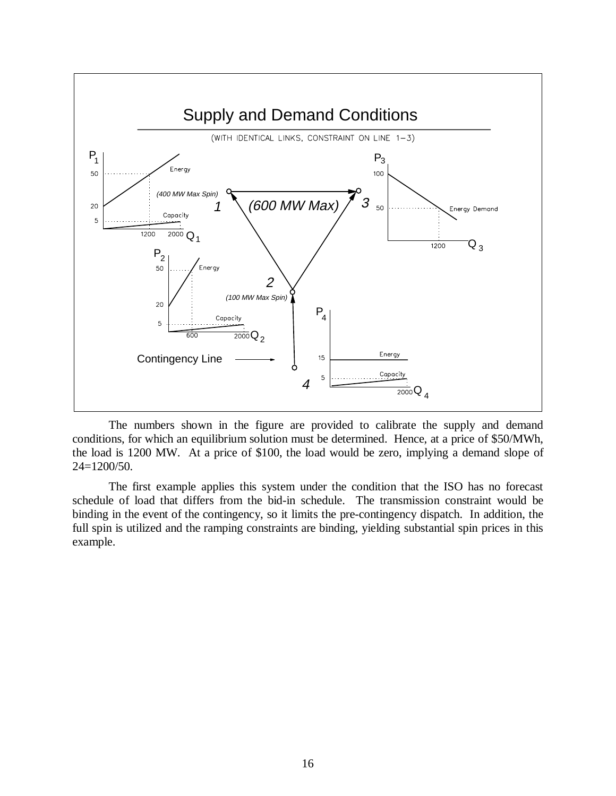

The numbers shown in the figure are provided to calibrate the supply and demand conditions, for which an equilibrium solution must be determined. Hence, at a price of \$50/MWh, the load is 1200 MW. At a price of \$100, the load would be zero, implying a demand slope of  $24=1200/50$ .

The first example applies this system under the condition that the ISO has no forecast schedule of load that differs from the bid-in schedule. The transmission constraint would be binding in the event of the contingency, so it limits the pre-contingency dispatch. In addition, the full spin is utilized and the ramping constraints are binding, yielding substantial spin prices in this example.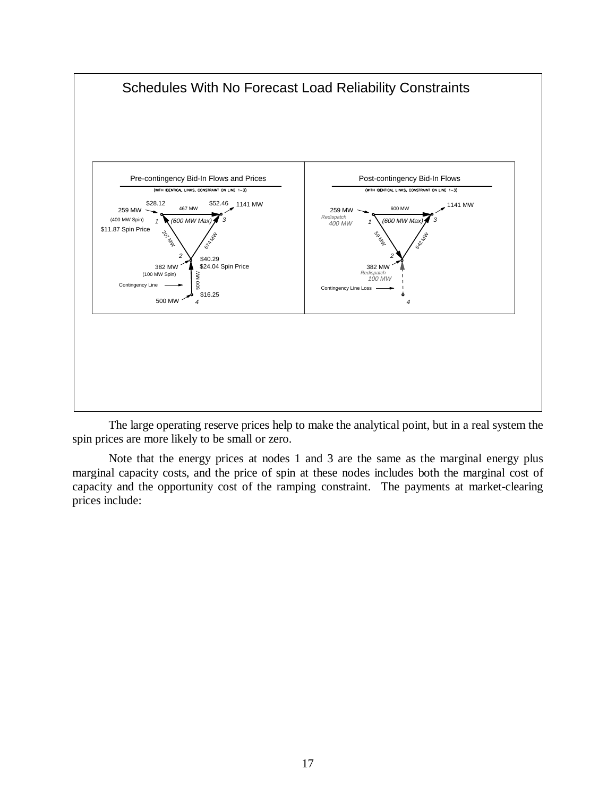

The large operating reserve prices help to make the analytical point, but in a real system the spin prices are more likely to be small or zero.

Note that the energy prices at nodes 1 and 3 are the same as the marginal energy plus marginal capacity costs, and the price of spin at these nodes includes both the marginal cost of capacity and the opportunity cost of the ramping constraint. The payments at market-clearing prices include: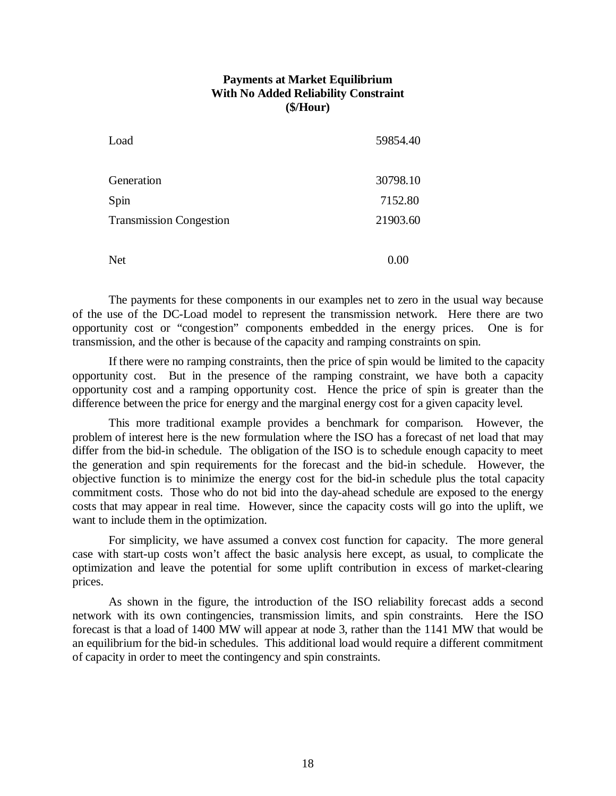# **Payments at Market Equilibrium With No Added Reliability Constraint (\$/Hour)**

| Load                           | 59854.40 |
|--------------------------------|----------|
| Generation                     | 30798.10 |
| Spin                           | 7152.80  |
| <b>Transmission Congestion</b> | 21903.60 |
| <b>Net</b>                     | 0.00     |

The payments for these components in our examples net to zero in the usual way because of the use of the DC-Load model to represent the transmission network. Here there are two opportunity cost or "congestion" components embedded in the energy prices. One is for transmission, and the other is because of the capacity and ramping constraints on spin.

If there were no ramping constraints, then the price of spin would be limited to the capacity opportunity cost. But in the presence of the ramping constraint, we have both a capacity opportunity cost and a ramping opportunity cost. Hence the price of spin is greater than the difference between the price for energy and the marginal energy cost for a given capacity level.

This more traditional example provides a benchmark for comparison. However, the problem of interest here is the new formulation where the ISO has a forecast of net load that may differ from the bid-in schedule. The obligation of the ISO is to schedule enough capacity to meet the generation and spin requirements for the forecast and the bid-in schedule. However, the objective function is to minimize the energy cost for the bid-in schedule plus the total capacity commitment costs. Those who do not bid into the day-ahead schedule are exposed to the energy costs that may appear in real time. However, since the capacity costs will go into the uplift, we want to include them in the optimization.

For simplicity, we have assumed a convex cost function for capacity. The more general case with start-up costs won't affect the basic analysis here except, as usual, to complicate the optimization and leave the potential for some uplift contribution in excess of market-clearing prices.

As shown in the figure, the introduction of the ISO reliability forecast adds a second network with its own contingencies, transmission limits, and spin constraints. Here the ISO forecast is that a load of 1400 MW will appear at node 3, rather than the 1141 MW that would be an equilibrium for the bid-in schedules. This additional load would require a different commitment of capacity in order to meet the contingency and spin constraints.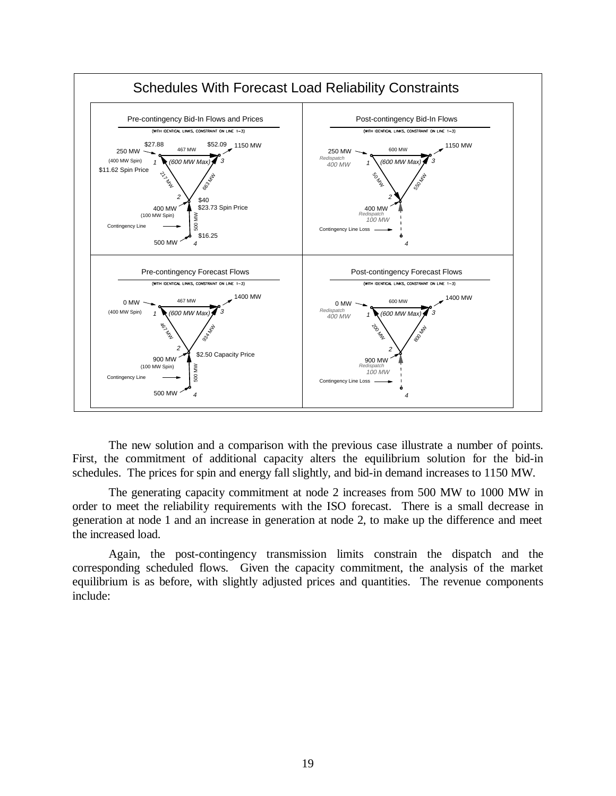

The new solution and a comparison with the previous case illustrate a number of points. First, the commitment of additional capacity alters the equilibrium solution for the bid-in schedules. The prices for spin and energy fall slightly, and bid-in demand increases to 1150 MW.

The generating capacity commitment at node 2 increases from 500 MW to 1000 MW in order to meet the reliability requirements with the ISO forecast. There is a small decrease in generation at node 1 and an increase in generation at node 2, to make up the difference and meet the increased load.

Again, the post-contingency transmission limits constrain the dispatch and the corresponding scheduled flows. Given the capacity commitment, the analysis of the market equilibrium is as before, with slightly adjusted prices and quantities. The revenue components include: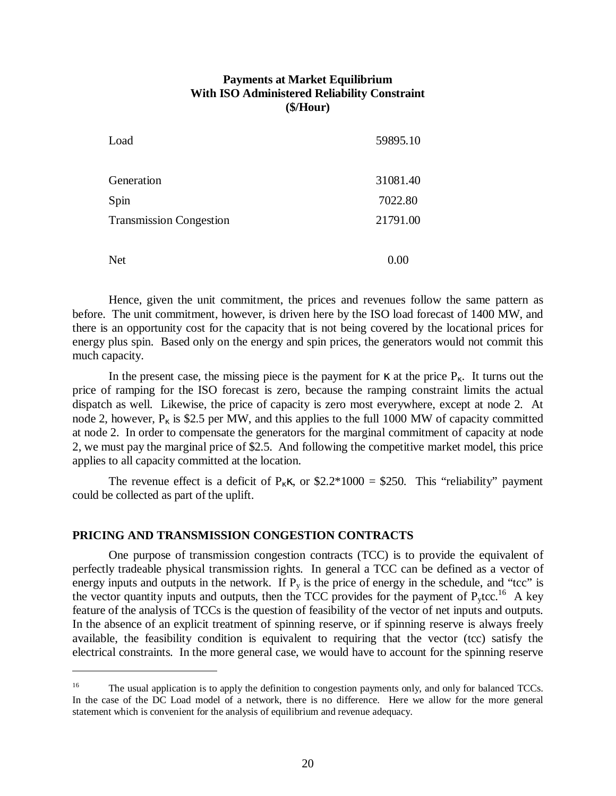# **Payments at Market Equilibrium With ISO Administered Reliability Constraint (\$/Hour)**

| Load                           | 59895.10 |
|--------------------------------|----------|
| Generation                     | 31081.40 |
| Spin                           | 7022.80  |
| <b>Transmission Congestion</b> | 21791.00 |
| <b>Net</b>                     | 0.00     |

Hence, given the unit commitment, the prices and revenues follow the same pattern as before. The unit commitment, however, is driven here by the ISO load forecast of 1400 MW, and there is an opportunity cost for the capacity that is not being covered by the locational prices for energy plus spin. Based only on the energy and spin prices, the generators would not commit this much capacity.

In the present case, the missing piece is the payment for  $\kappa$  at the price P<sub>K</sub>. It turns out the price of ramping for the ISO forecast is zero, because the ramping constraint limits the actual dispatch as well. Likewise, the price of capacity is zero most everywhere, except at node 2. At node 2, however,  $P_k$  is \$2.5 per MW, and this applies to the full 1000 MW of capacity committed at node 2. In order to compensate the generators for the marginal commitment of capacity at node 2, we must pay the marginal price of \$2.5. And following the competitive market model, this price applies to all capacity committed at the location.

The revenue effect is a deficit of  $P_k \kappa$ , or \$2.2\*1000 = \$250. This "reliability" payment could be collected as part of the uplift.

#### **PRICING AND TRANSMISSION CONGESTION CONTRACTS**

 $\overline{a}$ 

One purpose of transmission congestion contracts (TCC) is to provide the equivalent of perfectly tradeable physical transmission rights. In general a TCC can be defined as a vector of energy inputs and outputs in the network. If  $P_v$  is the price of energy in the schedule, and "tcc" is the vector quantity inputs and outputs, then the TCC provides for the payment of  $P_y$ tcc.<sup>16</sup> A key feature of the analysis of TCCs is the question of feasibility of the vector of net inputs and outputs. In the absence of an explicit treatment of spinning reserve, or if spinning reserve is always freely available, the feasibility condition is equivalent to requiring that the vector (tcc) satisfy the electrical constraints. In the more general case, we would have to account for the spinning reserve

<sup>&</sup>lt;sup>16</sup> The usual application is to apply the definition to congestion payments only, and only for balanced TCCs. In the case of the DC Load model of a network, there is no difference. Here we allow for the more general statement which is convenient for the analysis of equilibrium and revenue adequacy.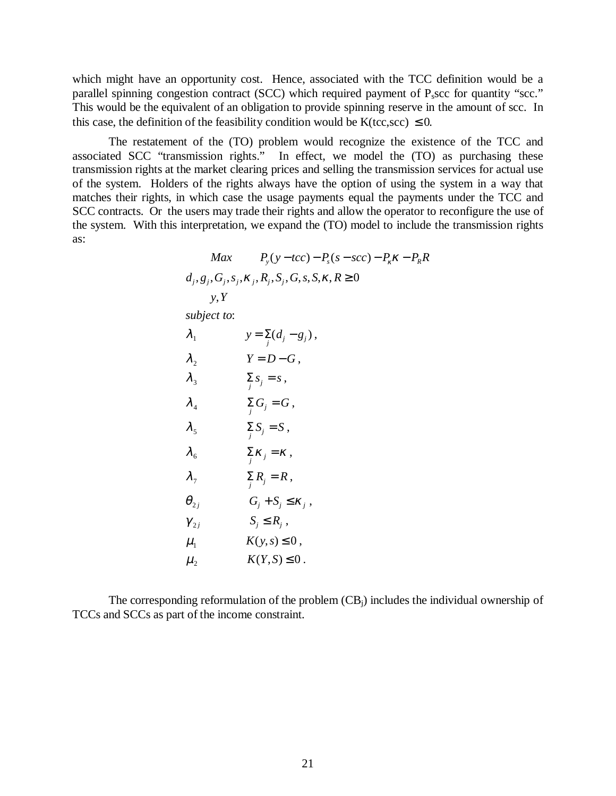which might have an opportunity cost. Hence, associated with the TCC definition would be a parallel spinning congestion contract (SCC) which required payment of P<sub>s</sub>scc for quantity "scc." This would be the equivalent of an obligation to provide spinning reserve in the amount of scc. In this case, the definition of the feasibility condition would be K(tcc,scc)  $\leq 0$ .

The restatement of the (TO) problem would recognize the existence of the TCC and associated SCC "transmission rights." In effect, we model the (TO) as purchasing these transmission rights at the market clearing prices and selling the transmission services for actual use of the system. Holders of the rights always have the option of using the system in a way that matches their rights, in which case the usage payments equal the payments under the TCC and SCC contracts. Or the users may trade their rights and allow the operator to reconfigure the use of the system. With this interpretation, we expand the (TO) model to include the transmission rights as:

$$
Max \t Py(y-tcc) - Ps(s-scc) - Pk \kappa - PR \kappa
$$
  

$$
dj, gj, Gj, sj, \kappaj, Rj, Sj, G, s, S, \kappa, R \ge 0
$$
  

$$
y, Y
$$

*subject to* :

| $\lambda_1$   | $y = \sum_{j} (d_j - g_j),$ |
|---------------|-----------------------------|
| $\lambda_2$   | $Y = D - G,$                |
| $\lambda_3$   | $\sum_{j} S_j = s,$         |
| $\lambda_4$   | $\sum_{j} G_j = G,$         |
| $\lambda_5$   | $\sum_{j} S_j = S,$         |
| $\lambda_6$   | $\sum_{j} K_j = K,$         |
| $\lambda_7$   | $\sum_{j} R_j = R,$         |
| $\theta_{2j}$ | $G_j + S_j \leq K_j,$       |
| $\gamma_{2j}$ | $S_j \leq R_j,$             |
| $\mu_1$       | $K(y, s) \leq 0,$           |
| $\mu_2$       | $K(Y, S) \leq 0.$           |

The corresponding reformulation of the problem  $(CB_i)$  includes the individual ownership of TCCs and SCCs as part of the income constraint.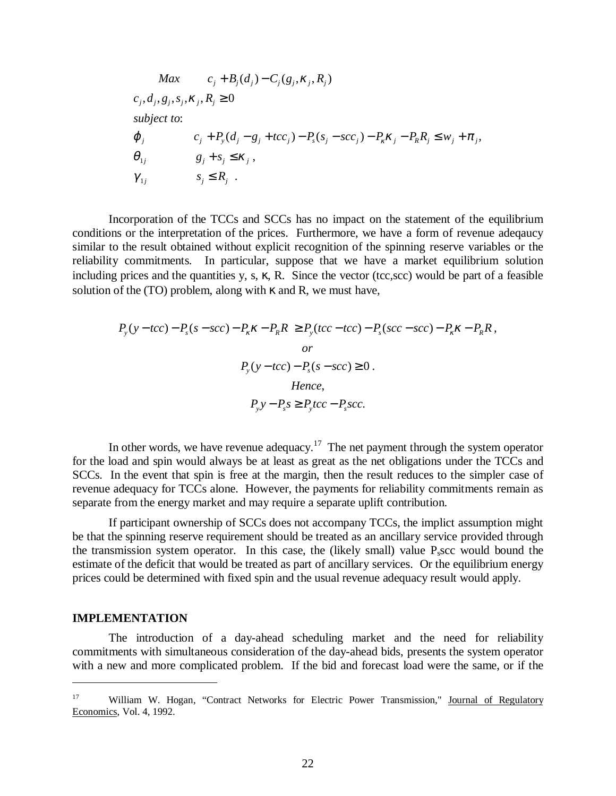$$
Max \t C_j + B_j(d_j) - C_j(g_j, \kappa_j, R_j)
$$
  
\n
$$
c_j, d_j, g_j, s_j, \kappa_j, R_j \ge 0
$$
  
\nsubject to:  
\n
$$
\varphi_j \t C_j + P_y(d_j - g_j + tcc_j) - P_s(s_j - scc_j) - P_k\kappa_j - P_R R_j \le w_j + \pi_j,
$$
  
\n
$$
\theta_{1j} \t g_j + s_j \le \kappa_j,
$$
  
\n
$$
\gamma_{1j} \t s_j \le R_j.
$$

Incorporation of the TCCs and SCCs has no impact on the statement of the equilibrium conditions or the interpretation of the prices. Furthermore, we have a form of revenue adeqaucy similar to the result obtained without explicit recognition of the spinning reserve variables or the reliability commitments. In particular, suppose that we have a market equilibrium solution including prices and the quantities y, s,  $\kappa$ , R. Since the vector (tcc,scc) would be part of a feasible solution of the (TO) problem, along with  $\kappa$  and R, we must have,

$$
P_y(y-tcc) - P_s(s-scc) - P_\kappa \kappa - P_\kappa R \ge P_y(tcc-tcc) - P_s(scc-scc) - P_\kappa \kappa - P_\kappa R,
$$
  
*or*  

$$
P_y(y-tcc) - P_s(s-scc) \ge 0.
$$
  
Hence,  

$$
P_y y - P_s s \ge P_y tcc - P_s scc.
$$

In other words, we have revenue adequacy.<sup>17</sup> The net payment through the system operator for the load and spin would always be at least as great as the net obligations under the TCCs and SCCs. In the event that spin is free at the margin, then the result reduces to the simpler case of revenue adequacy for TCCs alone. However, the payments for reliability commitments remain as separate from the energy market and may require a separate uplift contribution.

If participant ownership of SCCs does not accompany TCCs, the implict assumption might be that the spinning reserve requirement should be treated as an ancillary service provided through the transmission system operator. In this case, the (likely small) value  $P<sub>s</sub>$  scc would bound the estimate of the deficit that would be treated as part of ancillary services. Or the equilibrium energy prices could be determined with fixed spin and the usual revenue adequacy result would apply.

#### **IMPLEMENTATION**

 $\overline{a}$ 

The introduction of a day-ahead scheduling market and the need for reliability commitments with simultaneous consideration of the day-ahead bids, presents the system operator with a new and more complicated problem. If the bid and forecast load were the same, or if the

<sup>&</sup>lt;sup>17</sup> William W. Hogan, "Contract Networks for Electric Power Transmission," Journal of Regulatory Economics, Vol. 4, 1992.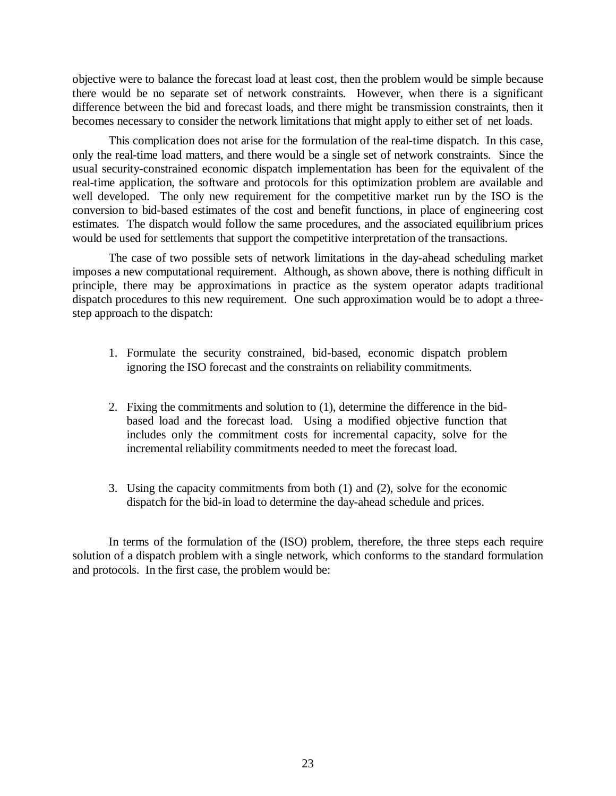objective were to balance the forecast load at least cost, then the problem would be simple because there would be no separate set of network constraints. However, when there is a significant difference between the bid and forecast loads, and there might be transmission constraints, then it becomes necessary to consider the network limitations that might apply to either set of net loads.

This complication does not arise for the formulation of the real-time dispatch. In this case, only the real-time load matters, and there would be a single set of network constraints. Since the usual security-constrained economic dispatch implementation has been for the equivalent of the real-time application, the software and protocols for this optimization problem are available and well developed. The only new requirement for the competitive market run by the ISO is the conversion to bid-based estimates of the cost and benefit functions, in place of engineering cost estimates. The dispatch would follow the same procedures, and the associated equilibrium prices would be used for settlements that support the competitive interpretation of the transactions.

The case of two possible sets of network limitations in the day-ahead scheduling market imposes a new computational requirement. Although, as shown above, there is nothing difficult in principle, there may be approximations in practice as the system operator adapts traditional dispatch procedures to this new requirement. One such approximation would be to adopt a threestep approach to the dispatch:

- 1. Formulate the security constrained, bid-based, economic dispatch problem ignoring the ISO forecast and the constraints on reliability commitments.
- 2. Fixing the commitments and solution to (1), determine the difference in the bidbased load and the forecast load. Using a modified objective function that includes only the commitment costs for incremental capacity, solve for the incremental reliability commitments needed to meet the forecast load.
- 3. Using the capacity commitments from both (1) and (2), solve for the economic dispatch for the bid-in load to determine the day-ahead schedule and prices.

In terms of the formulation of the (ISO) problem, therefore, the three steps each require solution of a dispatch problem with a single network, which conforms to the standard formulation and protocols. In the first case, the problem would be: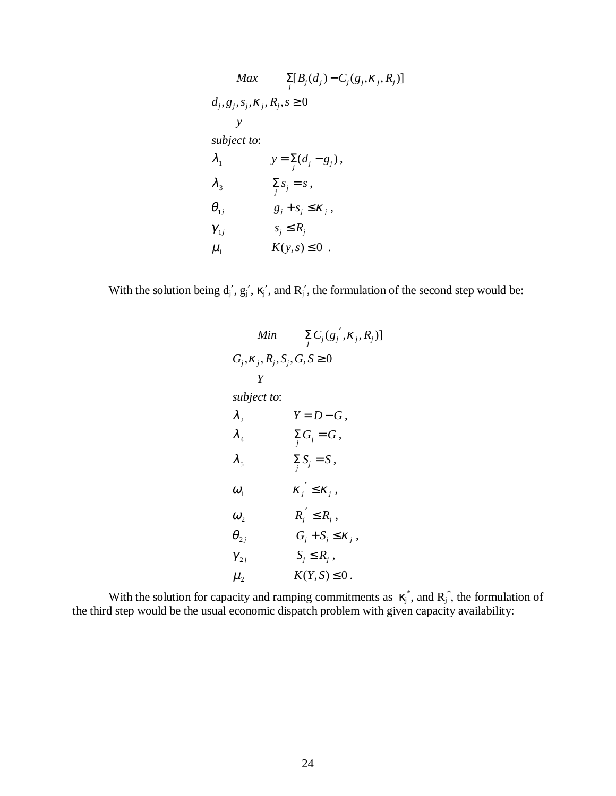$$
Max \sum_{j} [B_j(d_j) - C_j(g_j, \kappa_j, R_j)]
$$
  
\n
$$
d_j, g_j, s_j, \kappa_j, R_j, s \ge 0
$$
  
\n
$$
y
$$
  
\nsubject to:  
\n
$$
\lambda_1 \qquad y = \sum_j (d_j - g_j),
$$
  
\n
$$
\lambda_3 \qquad \sum_j s_j = s,
$$
  
\n
$$
\theta_{1j} \qquad g_j + s_j \le \kappa_j,
$$
  
\n
$$
\gamma_{1j} \qquad s_j \le R_j
$$
  
\n
$$
\mu_1 \qquad K(y, s) \le 0.
$$

With the solution being  $d_j$ ,  $g_j$ ,  $\kappa_j$ , and  $R_j$ , the formulation of the second step would be:

| Min                               | $\sum_i C_j (g_j^{\prime}, K_j, R_j)]$ |
|-----------------------------------|----------------------------------------|
| $G_i, K_i, R_i, S_i, G, S \geq 0$ |                                        |
| Y                                 |                                        |
| subject to:                       |                                        |
| $\lambda_{2}$                     | $Y = D - G$ ,                          |
| $\lambda_{\scriptscriptstyle 4}$  | $\sum_i G_j = G$ ,                     |
| $\lambda_{5}$                     | $\sum_i S_j = S$ ,                     |
| $\omega_{1}$                      | $\kappa'_j \leq \kappa_j$ ,            |
| $\omega_{2}$                      | $R'_j \leq R_j$ ,                      |
| $\bm{\theta}_{2i}$                | $G_j + S_j \leq \kappa_j$ ,            |
| $\gamma_{2i}$                     | $S_i \leq R_i$ ,                       |
| $\mu_{2}$                         | $K(Y, S) \leq 0$ .                     |

With the solution for capacity and ramping commitments as  $\kappa_j^*$ , and  $R_j^*$ , the formulation of the third step would be the usual economic dispatch problem with given capacity availability: